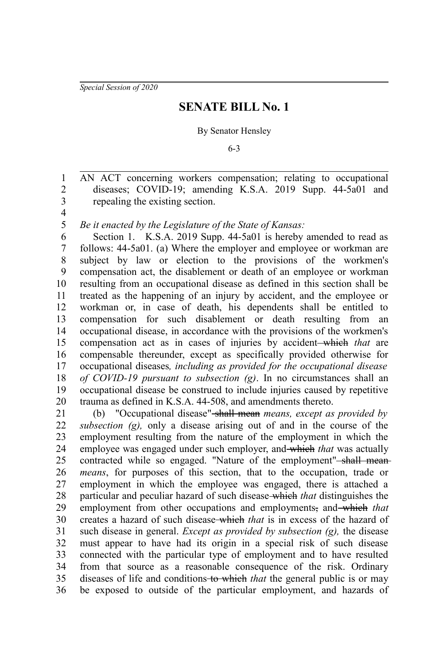*Special Session of 2020*

## **SENATE BILL No. 1**

## By Senator Hensley

6-3

AN ACT concerning workers compensation; relating to occupational diseases; COVID-19; amending K.S.A. 2019 Supp. 44-5a01 and repealing the existing section. 1 2 3

4 5

*Be it enacted by the Legislature of the State of Kansas:*

Section 1. K.S.A. 2019 Supp. 44-5a01 is hereby amended to read as follows:  $44-5a01$ . (a) Where the employer and employee or workman are subject by law or election to the provisions of the workmen's compensation act, the disablement or death of an employee or workman resulting from an occupational disease as defined in this section shall be treated as the happening of an injury by accident, and the employee or workman or, in case of death, his dependents shall be entitled to compensation for such disablement or death resulting from an occupational disease, in accordance with the provisions of the workmen's compensation act as in cases of injuries by accident which *that* are compensable thereunder, except as specifically provided otherwise for occupational diseases*, including as provided for the occupational disease of COVID-19 pursuant to subsection (g)*. In no circumstances shall an occupational disease be construed to include injuries caused by repetitive trauma as defined in K.S.A. 44-508, and amendments thereto. 6 7 8 9 10 11 12 13 14 15 16 17 18 19 20

(b) "Occupational disease" shall mean *means, except as provided by subsection (g),* only a disease arising out of and in the course of the employment resulting from the nature of the employment in which the employee was engaged under such employer, and which *that* was actually contracted while so engaged. "Nature of the employment"<del>-shall mean</del> *means*, for purposes of this section, that to the occupation, trade or employment in which the employee was engaged, there is attached a particular and peculiar hazard of such disease which *that* distinguishes the employment from other occupations and employments, and which that creates a hazard of such disease which *that* is in excess of the hazard of such disease in general. *Except as provided by subsection (g),* the disease must appear to have had its origin in a special risk of such disease connected with the particular type of employment and to have resulted from that source as a reasonable consequence of the risk. Ordinary diseases of life and conditions to which *that* the general public is or may be exposed to outside of the particular employment, and hazards of 21 22 23 24 25 26 27 28 29 30 31 32 33 34 35 36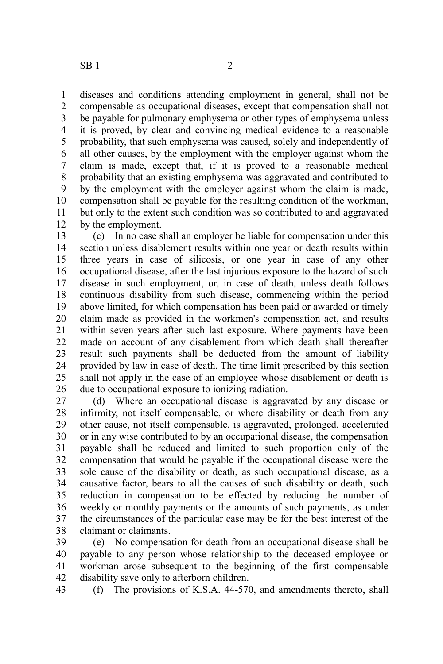$SB1$  2

diseases and conditions attending employment in general, shall not be compensable as occupational diseases, except that compensation shall not be payable for pulmonary emphysema or other types of emphysema unless it is proved, by clear and convincing medical evidence to a reasonable probability, that such emphysema was caused, solely and independently of all other causes, by the employment with the employer against whom the claim is made, except that, if it is proved to a reasonable medical probability that an existing emphysema was aggravated and contributed to by the employment with the employer against whom the claim is made, compensation shall be payable for the resulting condition of the workman, but only to the extent such condition was so contributed to and aggravated by the employment. 1 2 3 4 5 6 7 8 9 10 11 12

(c) In no case shall an employer be liable for compensation under this section unless disablement results within one year or death results within three years in case of silicosis, or one year in case of any other occupational disease, after the last injurious exposure to the hazard of such disease in such employment, or, in case of death, unless death follows continuous disability from such disease, commencing within the period above limited, for which compensation has been paid or awarded or timely claim made as provided in the workmen's compensation act, and results within seven years after such last exposure. Where payments have been made on account of any disablement from which death shall thereafter result such payments shall be deducted from the amount of liability provided by law in case of death. The time limit prescribed by this section shall not apply in the case of an employee whose disablement or death is due to occupational exposure to ionizing radiation. 13 14 15 16 17 18 19 20 21 22 23 24 25 26

(d) Where an occupational disease is aggravated by any disease or infirmity, not itself compensable, or where disability or death from any other cause, not itself compensable, is aggravated, prolonged, accelerated or in any wise contributed to by an occupational disease, the compensation payable shall be reduced and limited to such proportion only of the compensation that would be payable if the occupational disease were the sole cause of the disability or death, as such occupational disease, as a causative factor, bears to all the causes of such disability or death, such reduction in compensation to be effected by reducing the number of weekly or monthly payments or the amounts of such payments, as under the circumstances of the particular case may be for the best interest of the claimant or claimants. 27 28 29 30 31 32 33 34 35 36 37 38

(e) No compensation for death from an occupational disease shall be payable to any person whose relationship to the deceased employee or workman arose subsequent to the beginning of the first compensable disability save only to afterborn children. 39 40 41 42

(f) The provisions of K.S.A. 44-570, and amendments thereto, shall 43